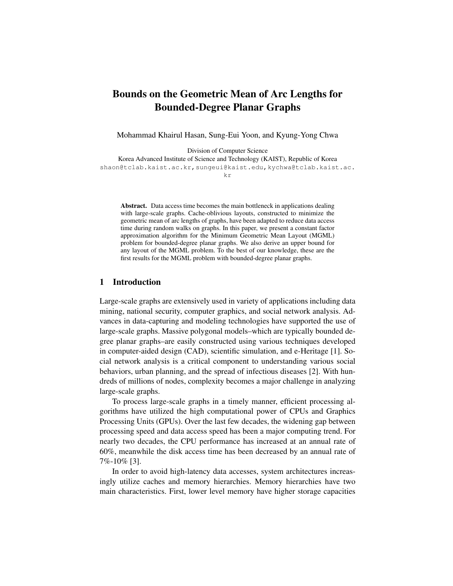# Bounds on the Geometric Mean of Arc Lengths for Bounded-Degree Planar Graphs

Mohammad Khairul Hasan, Sung-Eui Yoon, and Kyung-Yong Chwa

Division of Computer Science

Korea Advanced Institute of Science and Technology (KAIST), Republic of Korea shaon@tclab.kaist.ac.kr, sungeui@kaist.edu, kychwa@tclab.kaist.ac.

#### kr

Abstract. Data access time becomes the main bottleneck in applications dealing with large-scale graphs. Cache-oblivious layouts, constructed to minimize the geometric mean of arc lengths of graphs, have been adapted to reduce data access time during random walks on graphs. In this paper, we present a constant factor approximation algorithm for the Minimum Geometric Mean Layout (MGML) problem for bounded-degree planar graphs. We also derive an upper bound for any layout of the MGML problem. To the best of our knowledge, these are the first results for the MGML problem with bounded-degree planar graphs.

### 1 Introduction

Large-scale graphs are extensively used in variety of applications including data mining, national security, computer graphics, and social network analysis. Advances in data-capturing and modeling technologies have supported the use of large-scale graphs. Massive polygonal models–which are typically bounded degree planar graphs–are easily constructed using various techniques developed in computer-aided design (CAD), scientific simulation, and e-Heritage [1]. Social network analysis is a critical component to understanding various social behaviors, urban planning, and the spread of infectious diseases [2]. With hundreds of millions of nodes, complexity becomes a major challenge in analyzing large-scale graphs.

To process large-scale graphs in a timely manner, efficient processing algorithms have utilized the high computational power of CPUs and Graphics Processing Units (GPUs). Over the last few decades, the widening gap between processing speed and data access speed has been a major computing trend. For nearly two decades, the CPU performance has increased at an annual rate of 60%, meanwhile the disk access time has been decreased by an annual rate of 7%-10% [3].

In order to avoid high-latency data accesses, system architectures increasingly utilize caches and memory hierarchies. Memory hierarchies have two main characteristics. First, lower level memory have higher storage capacities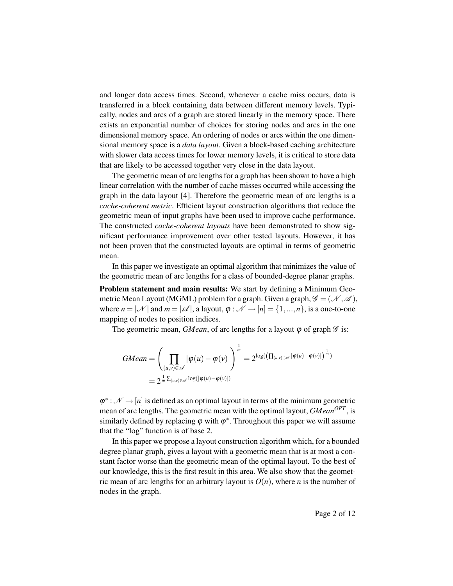and longer data access times. Second, whenever a cache miss occurs, data is transferred in a block containing data between different memory levels. Typically, nodes and arcs of a graph are stored linearly in the memory space. There exists an exponential number of choices for storing nodes and arcs in the one dimensional memory space. An ordering of nodes or arcs within the one dimensional memory space is a *data layout*. Given a block-based caching architecture with slower data access times for lower memory levels, it is critical to store data that are likely to be accessed together very close in the data layout.

The geometric mean of arc lengths for a graph has been shown to have a high linear correlation with the number of cache misses occurred while accessing the graph in the data layout [4]. Therefore the geometric mean of arc lengths is a *cache-coherent metric*. Efficient layout construction algorithms that reduce the geometric mean of input graphs have been used to improve cache performance. The constructed *cache-coherent layouts* have been demonstrated to show significant performance improvement over other tested layouts. However, it has not been proven that the constructed layouts are optimal in terms of geometric mean.

In this paper we investigate an optimal algorithm that minimizes the value of the geometric mean of arc lengths for a class of bounded-degree planar graphs.

Problem statement and main results: We start by defining a Minimum Geometric Mean Layout (MGML) problem for a graph. Given a graph,  $\mathcal{G} = (\mathcal{N}, \mathcal{A})$ , where  $n = |\mathcal{N}|$  and  $m = |\mathcal{A}|$ , a layout,  $\varphi : \mathcal{N} \to [n] = \{1, ..., n\}$ , is a one-to-one mapping of nodes to position indices.

The geometric mean, *GMean*, of arc lengths for a layout  $\varphi$  of graph  $\mathscr G$  is:

$$
GMean = \left(\prod_{(u,v)\in\mathscr{A}} |\varphi(u) - \varphi(v)|\right)^{\frac{1}{m}} = 2^{\log(\left(\prod_{(u,v)\in\mathscr{A}} |\varphi(u) - \varphi(v)|\right)^{\frac{1}{m}})}
$$
  
=  $2^{\frac{1}{m}\sum_{(u,v)\in\mathscr{A}} \log(|\varphi(u) - \varphi(v)|)}$ 

 $\varphi^*: \mathcal{N} \to [n]$  is defined as an optimal layout in terms of the minimum geometric mean of arc lengths. The geometric mean with the optimal layout, *GMeanOPT* , is similarly defined by replacing  $\varphi$  with  $\varphi^*$ . Throughout this paper we will assume that the "log" function is of base 2.

In this paper we propose a layout construction algorithm which, for a bounded degree planar graph, gives a layout with a geometric mean that is at most a constant factor worse than the geometric mean of the optimal layout. To the best of our knowledge, this is the first result in this area. We also show that the geometric mean of arc lengths for an arbitrary layout is  $O(n)$ , where *n* is the number of nodes in the graph.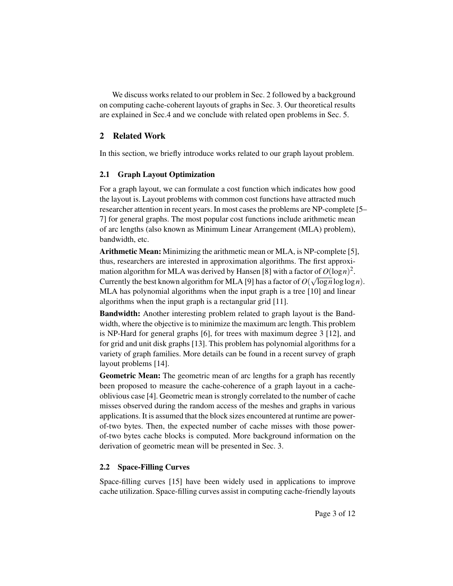We discuss works related to our problem in Sec. 2 followed by a background on computing cache-coherent layouts of graphs in Sec. 3. Our theoretical results are explained in Sec.4 and we conclude with related open problems in Sec. 5.

## 2 Related Work

In this section, we briefly introduce works related to our graph layout problem.

## 2.1 Graph Layout Optimization

For a graph layout, we can formulate a cost function which indicates how good the layout is. Layout problems with common cost functions have attracted much researcher attention in recent years. In most cases the problems are NP-complete [5– 7] for general graphs. The most popular cost functions include arithmetic mean of arc lengths (also known as Minimum Linear Arrangement (MLA) problem), bandwidth, etc.

Arithmetic Mean: Minimizing the arithmetic mean or MLA, is NP-complete [5], thus, researchers are interested in approximation algorithms. The first approximation algorithm for MLA was derived by Hansen [8] with a factor of  $O(\log n)^2$ . Currently the best known algorithm for MLA [9] has a factor of  $O(\sqrt{\log n} \log \log n)$ . MLA has polynomial algorithms when the input graph is a tree [10] and linear algorithms when the input graph is a rectangular grid [11].

Bandwidth: Another interesting problem related to graph layout is the Bandwidth, where the objective is to minimize the maximum arc length. This problem is NP-Hard for general graphs [6], for trees with maximum degree 3 [12], and for grid and unit disk graphs [13]. This problem has polynomial algorithms for a variety of graph families. More details can be found in a recent survey of graph layout problems [14].

Geometric Mean: The geometric mean of arc lengths for a graph has recently been proposed to measure the cache-coherence of a graph layout in a cacheoblivious case [4]. Geometric mean is strongly correlated to the number of cache misses observed during the random access of the meshes and graphs in various applications. It is assumed that the block sizes encountered at runtime are powerof-two bytes. Then, the expected number of cache misses with those powerof-two bytes cache blocks is computed. More background information on the derivation of geometric mean will be presented in Sec. 3.

## 2.2 Space-Filling Curves

Space-filling curves [15] have been widely used in applications to improve cache utilization. Space-filling curves assist in computing cache-friendly layouts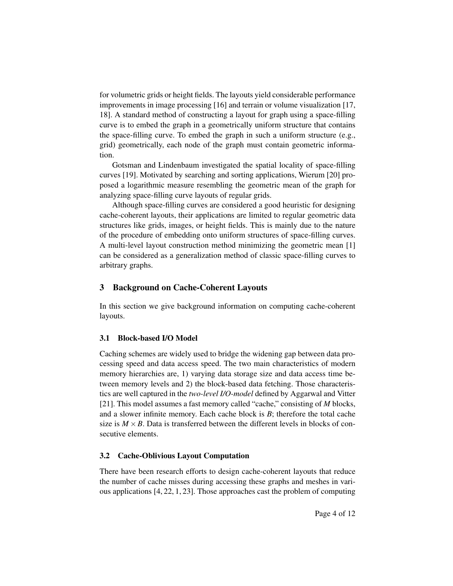for volumetric grids or height fields. The layouts yield considerable performance improvements in image processing [16] and terrain or volume visualization [17, 18]. A standard method of constructing a layout for graph using a space-filling curve is to embed the graph in a geometrically uniform structure that contains the space-filling curve. To embed the graph in such a uniform structure (e.g., grid) geometrically, each node of the graph must contain geometric information.

Gotsman and Lindenbaum investigated the spatial locality of space-filling curves [19]. Motivated by searching and sorting applications, Wierum [20] proposed a logarithmic measure resembling the geometric mean of the graph for analyzing space-filling curve layouts of regular grids.

Although space-filling curves are considered a good heuristic for designing cache-coherent layouts, their applications are limited to regular geometric data structures like grids, images, or height fields. This is mainly due to the nature of the procedure of embedding onto uniform structures of space-filling curves. A multi-level layout construction method minimizing the geometric mean [1] can be considered as a generalization method of classic space-filling curves to arbitrary graphs.

#### 3 Background on Cache-Coherent Layouts

In this section we give background information on computing cache-coherent layouts.

#### 3.1 Block-based I/O Model

Caching schemes are widely used to bridge the widening gap between data processing speed and data access speed. The two main characteristics of modern memory hierarchies are, 1) varying data storage size and data access time between memory levels and 2) the block-based data fetching. Those characteristics are well captured in the *two-level I/O-model* defined by Aggarwal and Vitter [21]. This model assumes a fast memory called "cache," consisting of *M* blocks, and a slower infinite memory. Each cache block is *B*; therefore the total cache size is  $M \times B$ . Data is transferred between the different levels in blocks of consecutive elements.

### 3.2 Cache-Oblivious Layout Computation

There have been research efforts to design cache-coherent layouts that reduce the number of cache misses during accessing these graphs and meshes in various applications [4, 22, 1, 23]. Those approaches cast the problem of computing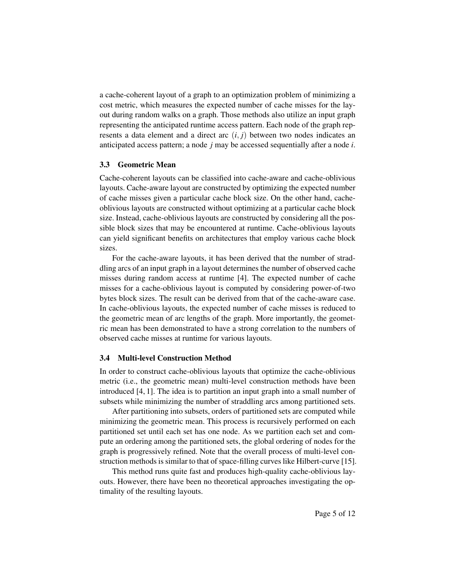a cache-coherent layout of a graph to an optimization problem of minimizing a cost metric, which measures the expected number of cache misses for the layout during random walks on a graph. Those methods also utilize an input graph representing the anticipated runtime access pattern. Each node of the graph represents a data element and a direct arc  $(i, j)$  between two nodes indicates an anticipated access pattern; a node *j* may be accessed sequentially after a node *i*.

#### 3.3 Geometric Mean

Cache-coherent layouts can be classified into cache-aware and cache-oblivious layouts. Cache-aware layout are constructed by optimizing the expected number of cache misses given a particular cache block size. On the other hand, cacheoblivious layouts are constructed without optimizing at a particular cache block size. Instead, cache-oblivious layouts are constructed by considering all the possible block sizes that may be encountered at runtime. Cache-oblivious layouts can yield significant benefits on architectures that employ various cache block sizes.

For the cache-aware layouts, it has been derived that the number of straddling arcs of an input graph in a layout determines the number of observed cache misses during random access at runtime [4]. The expected number of cache misses for a cache-oblivious layout is computed by considering power-of-two bytes block sizes. The result can be derived from that of the cache-aware case. In cache-oblivious layouts, the expected number of cache misses is reduced to the geometric mean of arc lengths of the graph. More importantly, the geometric mean has been demonstrated to have a strong correlation to the numbers of observed cache misses at runtime for various layouts.

#### 3.4 Multi-level Construction Method

In order to construct cache-oblivious layouts that optimize the cache-oblivious metric (i.e., the geometric mean) multi-level construction methods have been introduced [4, 1]. The idea is to partition an input graph into a small number of subsets while minimizing the number of straddling arcs among partitioned sets.

After partitioning into subsets, orders of partitioned sets are computed while minimizing the geometric mean. This process is recursively performed on each partitioned set until each set has one node. As we partition each set and compute an ordering among the partitioned sets, the global ordering of nodes for the graph is progressively refined. Note that the overall process of multi-level construction methods is similar to that of space-filling curves like Hilbert-curve [15].

This method runs quite fast and produces high-quality cache-oblivious layouts. However, there have been no theoretical approaches investigating the optimality of the resulting layouts.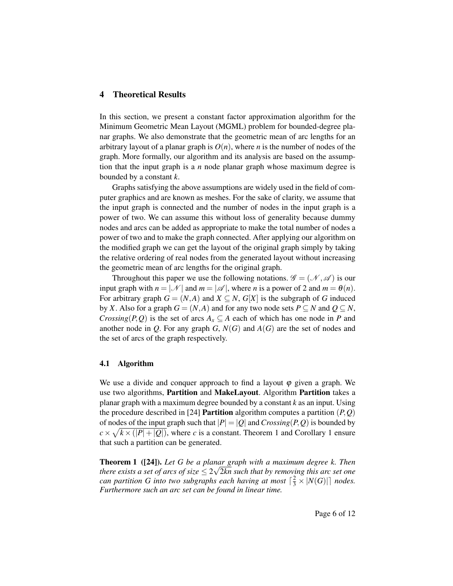## 4 Theoretical Results

In this section, we present a constant factor approximation algorithm for the Minimum Geometric Mean Layout (MGML) problem for bounded-degree planar graphs. We also demonstrate that the geometric mean of arc lengths for an arbitrary layout of a planar graph is  $O(n)$ , where *n* is the number of nodes of the graph. More formally, our algorithm and its analysis are based on the assumption that the input graph is a *n* node planar graph whose maximum degree is bounded by a constant *k*.

Graphs satisfying the above assumptions are widely used in the field of computer graphics and are known as meshes. For the sake of clarity, we assume that the input graph is connected and the number of nodes in the input graph is a power of two. We can assume this without loss of generality because dummy nodes and arcs can be added as appropriate to make the total number of nodes a power of two and to make the graph connected. After applying our algorithm on the modified graph we can get the layout of the original graph simply by taking the relative ordering of real nodes from the generated layout without increasing the geometric mean of arc lengths for the original graph.

Throughout this paper we use the following notations.  $\mathscr{G} = (\mathscr{N}, \mathscr{A})$  is our input graph with  $n = |\mathcal{N}|$  and  $m = |\mathcal{A}|$ , where *n* is a power of 2 and  $m = \theta(n)$ . For arbitrary graph  $G = (N, A)$  and  $X \subseteq N$ ,  $G[X]$  is the subgraph of *G* induced by *X*. Also for a graph  $G = (N, A)$  and for any two node sets  $P \subseteq N$  and  $Q \subseteq N$ , *Crossing*(*P, Q*) is the set of arcs  $A_x \subseteq A$  each of which has one node in *P* and another node in *Q*. For any graph *G*, *N*(*G*) and *A*(*G*) are the set of nodes and the set of arcs of the graph respectively.

#### 4.1 Algorithm

We use a divide and conquer approach to find a layout  $\varphi$  given a graph. We use two algorithms, Partition and MakeLayout. Algorithm Partition takes a planar graph with a maximum degree bounded by a constant *k* as an input. Using the procedure described in [24] Partition algorithm computes a partition (*P*,*Q*) of nodes of the input graph such that  $|P| = |Q|$  and  $Crossing(P, Q)$  is bounded by  $c \times \sqrt{k} \times (|P|+|Q|)$ , where *c* is a constant. Theorem 1 and Corollary 1 ensure that such a partition can be generated.

Theorem 1 ([24]). *Let G be a planar graph with a maximum degree k. Then there exists a set of arcs of size*  $\leq 2\sqrt{2kn}$  such that by removing this arc set one *can partition G into two subgraphs each having at most*  $\lceil \frac{2}{3} \times |N(G)| \rceil$  *nodes. Furthermore such an arc set can be found in linear time.*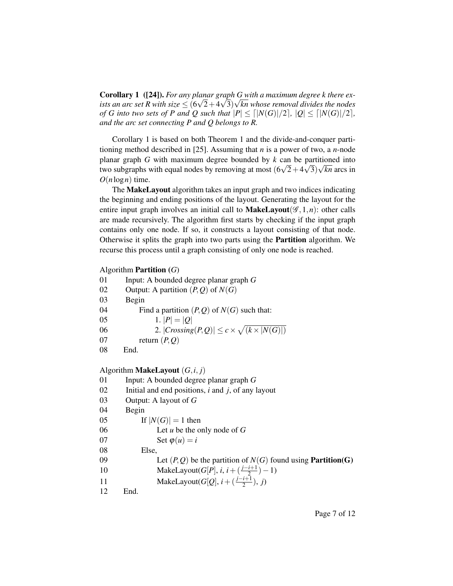Corollary 1 ([24]). *For any planar graph G with a maximum degree k there exbottlary*  $\mathbf{1} \cdot (\mathbf{2} \cdot \mathbf{i}) \cdot \mathbf{i} \cdot \mathbf{d}$  *ists an arc set R with size*  $\leq (6\sqrt{2} + 4\sqrt{3})\sqrt{kn}$  whose removal divides the nodes *of G into two sets of P and Q such that*  $|P| \leq \lfloor |N(G)|/2 \rfloor$ ,  $|Q| \leq \lfloor |N(G)|/2 \rfloor$ , *and the arc set connecting P and Q belongs to R.*

Corollary 1 is based on both Theorem 1 and the divide-and-conquer partitioning method described in [25]. Assuming that *n* is a power of two, a *n*-node planar graph *G* with maximum degree bounded by *k* can be partitioned into two subgraphs with equal nodes by removing at most  $(6\sqrt{2}+4\sqrt{3})\sqrt{kn}$  arcs in  $O(n \log n)$  time.

The MakeLayout algorithm takes an input graph and two indices indicating the beginning and ending positions of the layout. Generating the layout for the entire input graph involves an initial call to **MakeLayout**( $\mathscr{G}, 1, n$ ): other calls are made recursively. The algorithm first starts by checking if the input graph contains only one node. If so, it constructs a layout consisting of that node. Otherwise it splits the graph into two parts using the Partition algorithm. We recurse this process until a graph consisting of only one node is reached.

#### Algorithm Partition (*G*)

| 01 | Input: A bounded degree planar graph G                    |
|----|-----------------------------------------------------------|
| 02 | Output: A partition $(P, Q)$ of $N(G)$                    |
| 03 | Begin                                                     |
| 04 | Find a partition $(P,Q)$ of $N(G)$ such that:             |
| 05 | 1. $ P  =  Q $                                            |
| 06 | 2. $ Crossing(P,Q)  \leq c \times \sqrt{k \times  N(G) }$ |
| 07 | return $(P, Q)$                                           |
| 08 | End.                                                      |
|    |                                                           |

## Algorithm MakeLayout (*G*,*i*, *j*)

| 01 | Input: A bounded degree planar graph G                                 |
|----|------------------------------------------------------------------------|
| 02 | Initial and end positions, $i$ and $j$ , of any layout                 |
| 03 | Output: A layout of $G$                                                |
| 04 | Begin                                                                  |
| 05 | If $ N(G)  = 1$ then                                                   |
| 06 | Let $u$ be the only node of $G$                                        |
| 07 | Set $\varphi(u) = i$                                                   |
| 08 | Else,                                                                  |
| 09 | Let $(P,Q)$ be the partition of $N(G)$ found using <b>Partition(G)</b> |
| 10 | MakeLayout( $G[P], i, i + (\frac{j-i+1}{2}) - 1$ )                     |
| 11 | MakeLayout(G[Q], $i + (\frac{j-i+1}{2})$ , j)                          |
| 12 | End                                                                    |

12 End.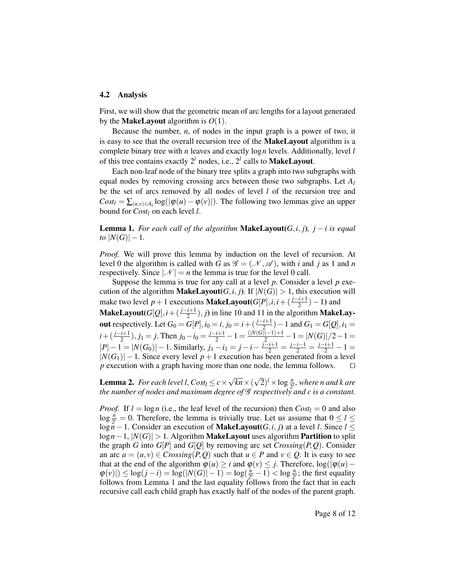#### 4.2 Analysis

First, we will show that the geometric mean of arc lengths for a layout generated by the **MakeLayout** algorithm is  $O(1)$ .

Because the number, *n*, of nodes in the input graph is a power of two, it is easy to see that the overall recursion tree of the MakeLayout algorithm is a complete binary tree with *n* leaves and exactly log*n* levels. Additionally, level *l* of this tree contains exactly  $2^l$  nodes, i.e.,  $2^l$  calls to **MakeLayout**.

Each non-leaf node of the binary tree splits a graph into two subgraphs with equal nodes by removing crossing arcs between those two subgraphs. Let *A<sup>l</sup>* be the set of arcs removed by all nodes of level *l* of the recursion tree and  $Cost_l = \sum_{(u,v) \in A_l} log(|\varphi(u) - \varphi(v)|)$ . The following two lemmas give an upper bound for *Cost<sup>l</sup>* on each level *l*.

**Lemma 1.** For each call of the algorithm **MakeLayout**( $G$ , *i*, *j*)*,*  $j - i$  *is equal to*  $|N(G)| - 1$ .

*Proof.* We will prove this lemma by induction on the level of recursion. At level 0 the algorithm is called with *G* as  $\mathcal{G} = (\mathcal{N}, \mathcal{A})$ , with *i* and *j* as 1 and *n* respectively. Since  $|\mathcal{N}| = n$  the lemma is true for the level 0 call.

Suppose the lemma is true for any call at a level *p*. Consider a level *p* execution of the algorithm **MakeLayout**( $G$ *,i*, *j*). If  $|N(G)| > 1$ , this execution will make two level *p* + 1 executions **MakeLayout**( $G[P], i, i + (\frac{j-i+1}{2}) - 1$ ) and MakeLayout( $G[Q], i + (\frac{j-i+1}{2}), j$ ) in line 10 and 11 in the algorithm MakeLayout respectively. Let  $G_0 = G[P], i_0 = i, j_0 = i + (\frac{j-i+1}{2}) - 1$  and  $G_1 = G[Q], i_1 = i$  $i + (\frac{j-i+1}{2}), j_1 = j$ . Then  $j_0 - i_0 = \frac{j-i+1}{2} - 1 = \frac{(|N(G)|-1)+1}{2} - 1 = |N(G)|/2 - 1 =$  $|P|-1 = |N(G_0)| - 1$ . Similarly,  $j_1 - i_1 = j - i - \frac{j-i+1}{2} = \frac{j-i-1}{2} = \frac{j-i+1}{2} - 1 =$  $|N(G_1)| - 1$ . Since every level  $p + 1$  execution has been generated from a level *p* execution with a graph having more than one node, the lemma follows. □

**Lemma 2.** For each level l,  $Cost_l \le c \times \sqrt{kn} \times (\sqrt{2})^l \times \log \frac{n}{2^l}$ , where n and k are *the number of nodes and maximum degree of* G *respectively and c is a constant.*

*Proof.* If  $l = \log n$  (i.e., the leaf level of the recursion) then  $Cost_l = 0$  and also  $\log \frac{n}{2^l} = 0$ . Therefore, the lemma is trivially true. Let us assume that  $0 \le l \le \frac{1}{2^l}$ log*n*−1. Consider an execution of MakeLayout(*G*,*i*, *j*) at a level *l*. Since *l* ≤ log*n*−1, |*N*(*G*)| > 1. Algorithm MakeLayout uses algorithm Partition to split the graph *G* into *G*[*P*] and *G*[*Q*] by removing arc set *Crossing*(*P, Q*). Consider an arc  $a = (u, v) \in Crossing(P, Q)$  such that  $u \in P$  and  $v \in Q$ . It is easy to see that at the end of the algorithm  $\varphi(u) \geq i$  and  $\varphi(v) \leq j$ . Therefore,  $\log(|\varphi(u) \varphi(v)|) \le \log(j - i) = \log(|N(G)| - 1) = \log(\frac{n}{2})$  $\left(\frac{n}{2^l}-1\right) < \log \frac{n}{2^l}$ ; the first equality follows from Lemma 1 and the last equality follows from the fact that in each recursive call each child graph has exactly half of the nodes of the parent graph.

Page 8 of 12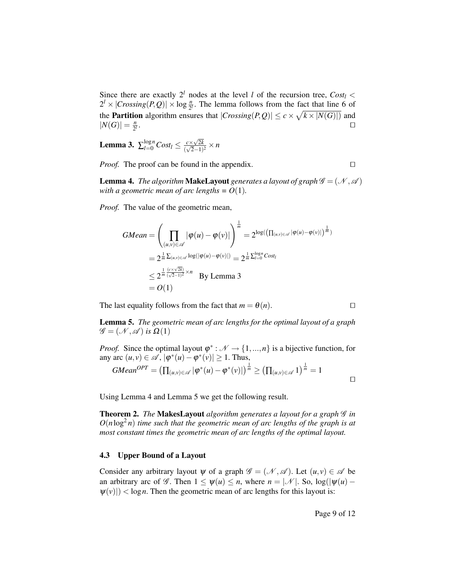Since there are exactly  $2^l$  nodes at the level *l* of the recursion tree,  $Cost_l <$  $2^l \times |Crossing(P, Q)| \times \log \frac{n}{2^l}$ . The lemma follows from the fact that line 6 of the **Partition** algorithm ensures that  $|Crossing(P,Q)| \leq c \times \sqrt{k \times |N(G)|}$  and  $|N(G)| = \frac{n}{2^{i}}$  $\overline{2}$ <sup> $l$ </sup> . ⊓⊔

**Lemma 3.**  $\sum_{l=0}^{\log n} Cost_l \leq \frac{c \times \sqrt{2k}}{(\sqrt{2}-1)}$  $\frac{c \times \sqrt{2k}}{(\sqrt{2}-1)^2} \times n$ 

*Proof.* The proof can be found in the appendix. □

**Lemma 4.** *The algorithm* **MakeLayout** *generates a layout of graph*  $\mathcal{G} = (\mathcal{N}, \mathcal{A})$ *with a geometric mean of arc lengths =*  $O(1)$ *.* 

*Proof.* The value of the geometric mean,

$$
GMean = \left(\prod_{(u,v)\in\mathscr{A}} |\varphi(u) - \varphi(v)|\right)^{\frac{1}{m}} = 2^{\log(\left(\prod_{(u,v)\in\mathscr{A}} |\varphi(u) - \varphi(v)|\right)^{\frac{1}{m}})}
$$
  
\n
$$
= 2^{\frac{1}{m}\sum_{(u,v)\in\mathscr{A}} \log(|\varphi(u) - \varphi(v)|)} = 2^{\frac{1}{m}\sum_{l=0}^{\log n} Cost_l}
$$
  
\n
$$
\leq 2^{\frac{1}{m}\frac{(cx\sqrt{2k})}{(\sqrt{2}-1)^2} \times n}
$$
 By Lemma 3  
\n
$$
= O(1)
$$

The last equality follows from the fact that  $m = \theta(n)$ . □

Lemma 5. *The geometric mean of arc lengths for the optimal layout of a graph*  $\mathscr{G} = (\mathscr{N}, \mathscr{A})$  *is*  $\Omega(1)$ 

*Proof.* Since the optimal layout  $\varphi^*$ :  $\mathcal{N} \to \{1, ..., n\}$  is a bijective function, for any arc  $(u, v) \in \mathscr{A}$ ,  $|\varphi^*(u) - \varphi^*(v)| \ge 1$ . Thus,

$$
GMean^{OPT} = \left(\prod_{(u,v)\in\mathscr{A}}|\varphi^*(u) - \varphi^*(v)|\right)^{\frac{1}{m}} \ge \left(\prod_{(u,v)\in\mathscr{A}}1\right)^{\frac{1}{m}} = 1
$$

Using Lemma 4 and Lemma 5 we get the following result.

Theorem 2. *The* MakesLayout *algorithm generates a layout for a graph* G *in*  $O(n \log^2 n)$  *time such that the geometric mean of arc lengths of the graph is at most constant times the geometric mean of arc lengths of the optimal layout.*

#### 4.3 Upper Bound of a Layout

Consider any arbitrary layout  $\psi$  of a graph  $\mathscr{G} = (\mathscr{N}, \mathscr{A})$ . Let  $(u, v) \in \mathscr{A}$  be an arbitrary arc of  $\mathscr{G}$ . Then  $1 \leq \psi(u) \leq n$ , where  $n = |\mathscr{N}|$ . So,  $\log(|\psi(u) - \psi(u)|)$  $|\psi(v)|$  < log *n*. Then the geometric mean of arc lengths for this layout is:

Page 9 of 12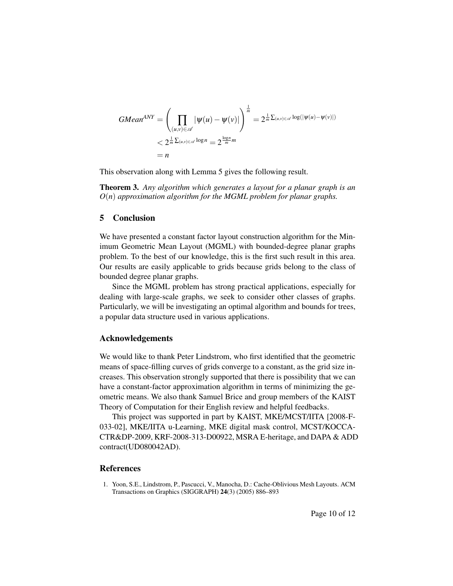$$
GMean^{ANY} = \left(\prod_{(u,v)\in\mathscr{A}} |\psi(u) - \psi(v)|\right)^{\frac{1}{m}} = 2^{\frac{1}{m}\sum_{(u,v)\in\mathscr{A}}\log(|\psi(u) - \psi(v)|)}
$$
  
< 
$$
< 2^{\frac{1}{m}\sum_{(u,v)\in\mathscr{A}}\log n} = 2^{\frac{\log n}{m}m}
$$
  
= n

This observation along with Lemma 5 gives the following result.

Theorem 3. *Any algorithm which generates a layout for a planar graph is an O*(*n*) *approximation algorithm for the MGML problem for planar graphs.*

#### 5 Conclusion

We have presented a constant factor layout construction algorithm for the Minimum Geometric Mean Layout (MGML) with bounded-degree planar graphs problem. To the best of our knowledge, this is the first such result in this area. Our results are easily applicable to grids because grids belong to the class of bounded degree planar graphs.

Since the MGML problem has strong practical applications, especially for dealing with large-scale graphs, we seek to consider other classes of graphs. Particularly, we will be investigating an optimal algorithm and bounds for trees, a popular data structure used in various applications.

#### Acknowledgements

We would like to thank Peter Lindstrom, who first identified that the geometric means of space-filling curves of grids converge to a constant, as the grid size increases. This observation strongly supported that there is possibility that we can have a constant-factor approximation algorithm in terms of minimizing the geometric means. We also thank Samuel Brice and group members of the KAIST Theory of Computation for their English review and helpful feedbacks.

This project was supported in part by KAIST, MKE/MCST/IITA [2008-F-033-02], MKE/IITA u-Learning, MKE digital mask control, MCST/KOCCA-CTR&DP-2009, KRF-2008-313-D00922, MSRA E-heritage, and DAPA & ADD contract(UD080042AD).

#### References

1. Yoon, S.E., Lindstrom, P., Pascucci, V., Manocha, D.: Cache-Oblivious Mesh Layouts. ACM Transactions on Graphics (SIGGRAPH) 24(3) (2005) 886–893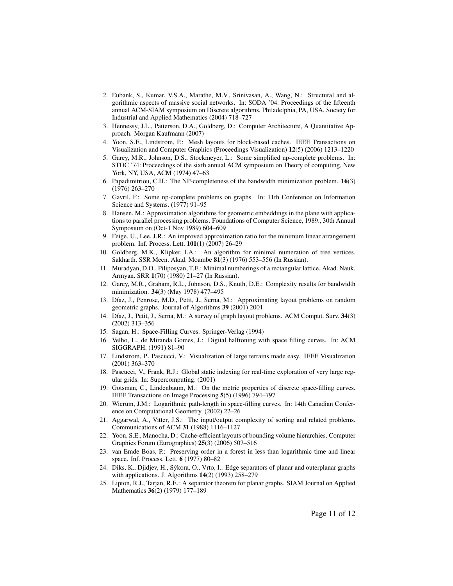- 2. Eubank, S., Kumar, V.S.A., Marathe, M.V., Srinivasan, A., Wang, N.: Structural and algorithmic aspects of massive social networks. In: SODA '04: Proceedings of the fifteenth annual ACM-SIAM symposium on Discrete algorithms, Philadelphia, PA, USA, Society for Industrial and Applied Mathematics (2004) 718–727
- 3. Hennessy, J.L., Patterson, D.A., Goldberg, D.: Computer Architecture, A Quantitative Approach. Morgan Kaufmann (2007)
- 4. Yoon, S.E., Lindstrom, P.: Mesh layouts for block-based caches. IEEE Transactions on Visualization and Computer Graphics (Proceedings Visualization) 12(5) (2006) 1213–1220
- 5. Garey, M.R., Johnson, D.S., Stockmeyer, L.: Some simplified np-complete problems. In: STOC '74: Proceedings of the sixth annual ACM symposium on Theory of computing, New York, NY, USA, ACM (1974) 47–63
- 6. Papadimitriou, C.H.: The NP-completeness of the bandwidth minimization problem. 16(3) (1976) 263–270
- 7. Gavril, F.: Some np-complete problems on graphs. In: 11th Conference on Information Science and Systems. (1977) 91–95
- 8. Hansen, M.: Approximation algorithms for geometric embeddings in the plane with applications to parallel processing problems. Foundations of Computer Science, 1989., 30th Annual Symposium on (Oct-1 Nov 1989) 604–609
- 9. Feige, U., Lee, J.R.: An improved approximation ratio for the minimum linear arrangement problem. Inf. Process. Lett. 101(1) (2007) 26–29
- 10. Goldberg, M.K., Klipker, I.A.: An algorithm for minimal numeration of tree vertices. Sakharth. SSR Mecn. Akad. Moambe 81(3) (1976) 553–556 (In Russian).
- 11. Muradyan, D.O., Piliposyan, T.E.: Minimal numberings of a rectangular lattice. Akad. Nauk. Armyan. SRR 1(70) (1980) 21–27 (In Russian).
- 12. Garey, M.R., Graham, R.L., Johnson, D.S., Knuth, D.E.: Complexity results for bandwidth minimization. 34(3) (May 1978) 477–495
- 13. Díaz, J., Penrose, M.D., Petit, J., Serna, M.: Approximating layout problems on random geometric graphs. Journal of Algorithms 39 (2001) 2001
- 14. Díaz, J., Petit, J., Serna, M.: A survey of graph layout problems. ACM Comput. Surv. 34(3) (2002) 313–356
- 15. Sagan, H.: Space-Filling Curves. Springer-Verlag (1994)
- 16. Velho, L., de Miranda Gomes, J.: Digital halftoning with space filling curves. In: ACM SIGGRAPH. (1991) 81–90
- 17. Lindstrom, P., Pascucci, V.: Visualization of large terrains made easy. IEEE Visualization (2001) 363–370
- 18. Pascucci, V., Frank, R.J.: Global static indexing for real-time exploration of very large regular grids. In: Supercomputing. (2001)
- 19. Gotsman, C., Lindenbaum, M.: On the metric properties of discrete space-filling curves. IEEE Transactions on Image Processing 5(5) (1996) 794–797
- 20. Wierum, J.M.: Logarithmic path-length in space-filling curves. In: 14th Canadian Conference on Computational Geometry. (2002) 22–26
- 21. Aggarwal, A., Vitter, J.S.: The input/output complexity of sorting and related problems. Communications of ACM 31 (1988) 1116–1127
- 22. Yoon, S.E., Manocha, D.: Cache-efficient layouts of bounding volume hierarchies. Computer Graphics Forum (Eurographics) 25(3) (2006) 507–516
- 23. van Emde Boas, P.: Preserving order in a forest in less than logarithmic time and linear space. Inf. Process. Lett. 6 (1977) 80–82
- 24. Diks, K., Djidjev, H., Sykora, O., Vrto, I.: Edge separators of planar and outerplanar graphs ´ with applications. J. Algorithms 14(2) (1993) 258–279
- 25. Lipton, R.J., Tarjan, R.E.: A separator theorem for planar graphs. SIAM Journal on Applied Mathematics 36(2) (1979) 177–189